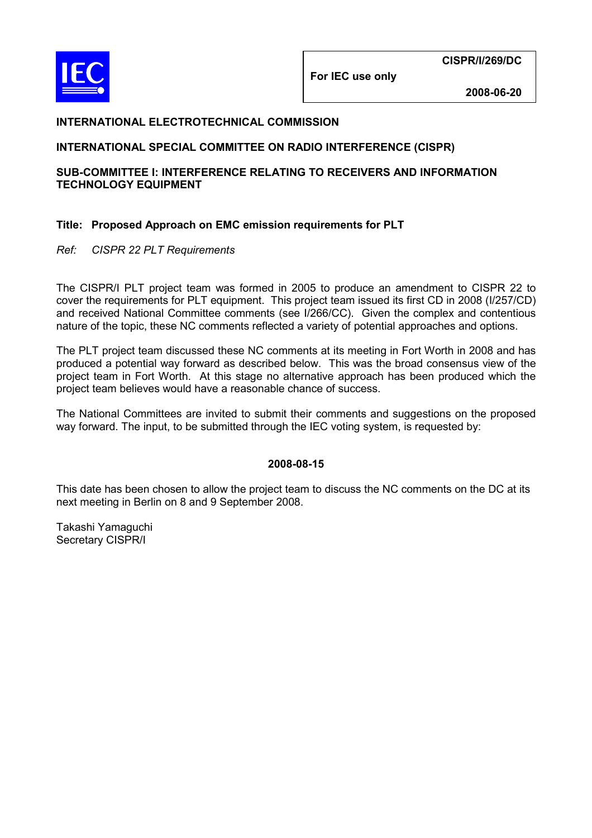

**For IEC use only** 

 **2008-06-20** 

## **INTERNATIONAL ELECTROTECHNICAL COMMISSION**

## **INTERNATIONAL SPECIAL COMMITTEE ON RADIO INTERFERENCE (CISPR)**

### **SUB-COMMITTEE I: INTERFERENCE RELATING TO RECEIVERS AND INFORMATION TECHNOLOGY EQUIPMENT**

## **Title: Proposed Approach on EMC emission requirements for PLT**

*Ref: CISPR 22 PLT Requirements* 

The CISPR/I PLT project team was formed in 2005 to produce an amendment to CISPR 22 to cover the requirements for PLT equipment. This project team issued its first CD in 2008 (I/257/CD) and received National Committee comments (see I/266/CC). Given the complex and contentious nature of the topic, these NC comments reflected a variety of potential approaches and options.

The PLT project team discussed these NC comments at its meeting in Fort Worth in 2008 and has produced a potential way forward as described below. This was the broad consensus view of the project team in Fort Worth. At this stage no alternative approach has been produced which the project team believes would have a reasonable chance of success.

The National Committees are invited to submit their comments and suggestions on the proposed way forward. The input, to be submitted through the IEC voting system, is requested by:

#### **2008-08-15**

This date has been chosen to allow the project team to discuss the NC comments on the DC at its next meeting in Berlin on 8 and 9 September 2008.

Takashi Yamaguchi Secretary CISPR/I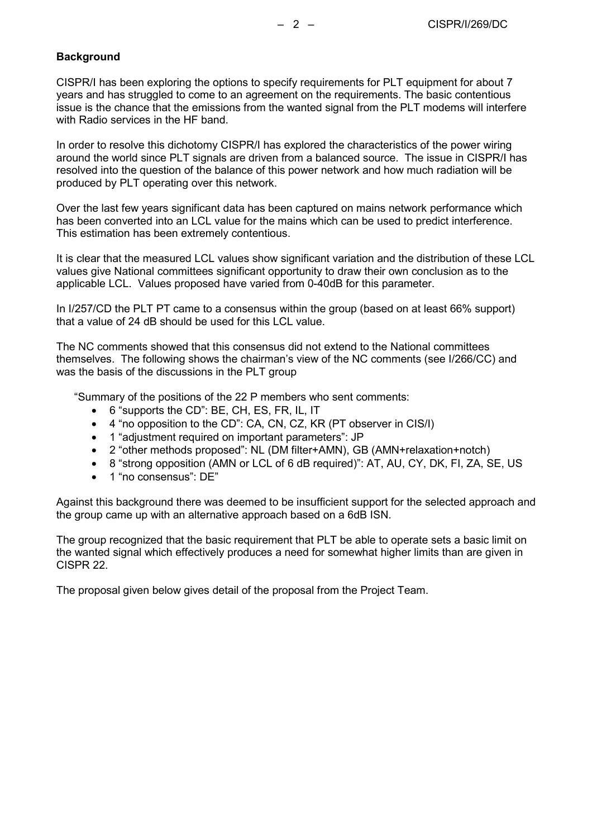## **Background**

CISPR/I has been exploring the options to specify requirements for PLT equipment for about 7 years and has struggled to come to an agreement on the requirements. The basic contentious issue is the chance that the emissions from the wanted signal from the PLT modems will interfere with Radio services in the HF band.

In order to resolve this dichotomy CISPR/I has explored the characteristics of the power wiring around the world since PLT signals are driven from a balanced source. The issue in CISPR/I has resolved into the question of the balance of this power network and how much radiation will be produced by PLT operating over this network.

Over the last few years significant data has been captured on mains network performance which has been converted into an LCL value for the mains which can be used to predict interference. This estimation has been extremely contentious.

It is clear that the measured LCL values show significant variation and the distribution of these LCL values give National committees significant opportunity to draw their own conclusion as to the applicable LCL. Values proposed have varied from 0-40dB for this parameter.

In I/257/CD the PLT PT came to a consensus within the group (based on at least 66% support) that a value of 24 dB should be used for this LCL value.

The NC comments showed that this consensus did not extend to the National committees themselves. The following shows the chairman's view of the NC comments (see I/266/CC) and was the basis of the discussions in the PLT group

"Summary of the positions of the 22 P members who sent comments:

- 6 "supports the CD": BE, CH, ES, FR, IL, IT
- 4 "no opposition to the CD": CA, CN, CZ, KR (PT observer in CIS/I)
- 1 "adjustment required on important parameters": JP
- 2 "other methods proposed": NL (DM filter+AMN), GB (AMN+relaxation+notch)
- 8 "strong opposition (AMN or LCL of 6 dB required)": AT, AU, CY, DK, FI, ZA, SE, US
- 1 "no consensus": DE"

Against this background there was deemed to be insufficient support for the selected approach and the group came up with an alternative approach based on a 6dB ISN.

The group recognized that the basic requirement that PLT be able to operate sets a basic limit on the wanted signal which effectively produces a need for somewhat higher limits than are given in CISPR 22.

The proposal given below gives detail of the proposal from the Project Team.